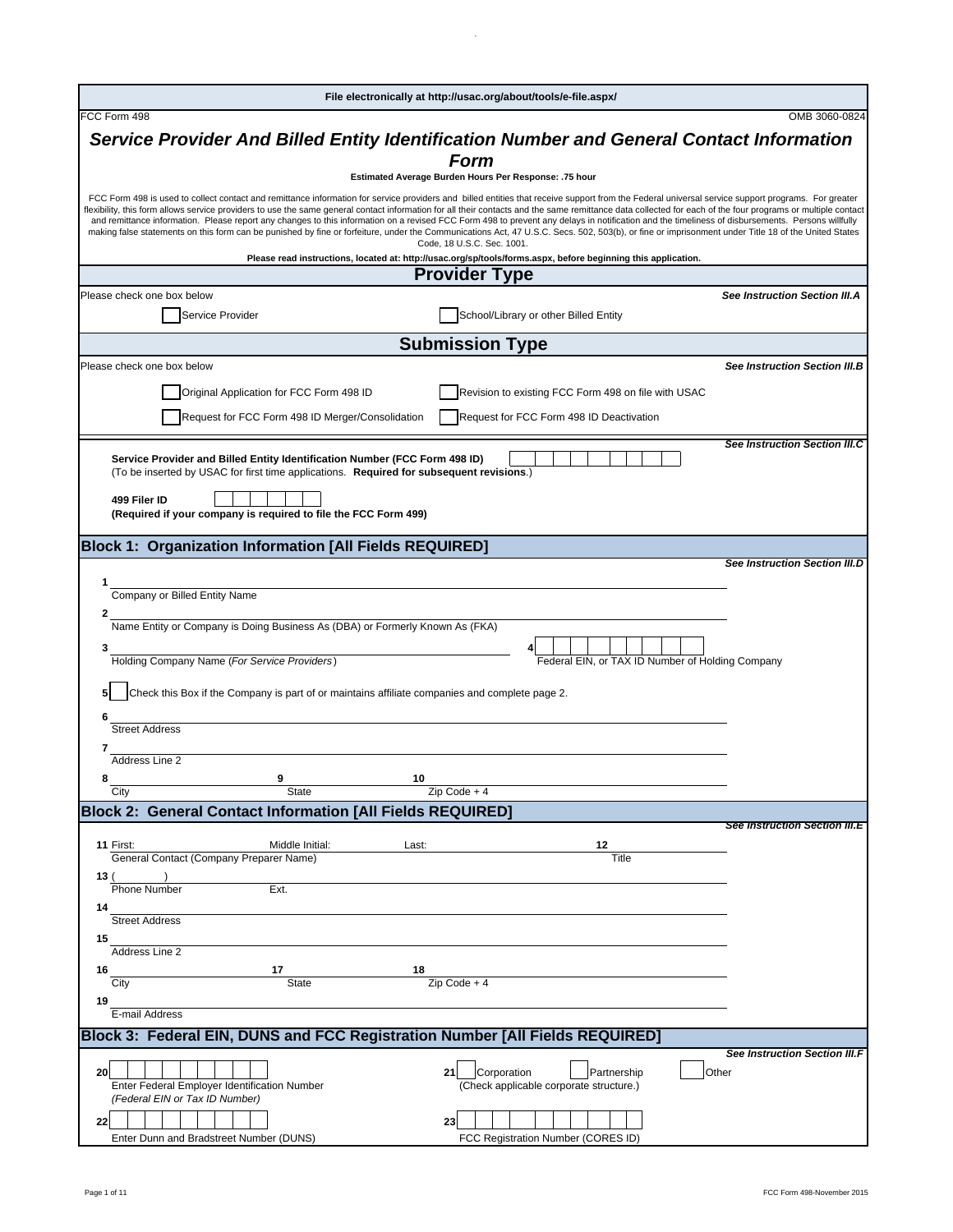|                                                                              |                                                  |                                                                                                | File electronically at http://usac.org/about/tools/e-file.aspx/                                                                                                                                                                                                                                                                                                                                                                                                                                                                                                                                                                                                                                                                                                                                                             |                                      |
|------------------------------------------------------------------------------|--------------------------------------------------|------------------------------------------------------------------------------------------------|-----------------------------------------------------------------------------------------------------------------------------------------------------------------------------------------------------------------------------------------------------------------------------------------------------------------------------------------------------------------------------------------------------------------------------------------------------------------------------------------------------------------------------------------------------------------------------------------------------------------------------------------------------------------------------------------------------------------------------------------------------------------------------------------------------------------------------|--------------------------------------|
| FCC Form 498                                                                 |                                                  |                                                                                                |                                                                                                                                                                                                                                                                                                                                                                                                                                                                                                                                                                                                                                                                                                                                                                                                                             | OMB 3060-0824                        |
|                                                                              |                                                  |                                                                                                | Service Provider And Billed Entity Identification Number and General Contact Information                                                                                                                                                                                                                                                                                                                                                                                                                                                                                                                                                                                                                                                                                                                                    |                                      |
|                                                                              |                                                  | <b>Form</b>                                                                                    |                                                                                                                                                                                                                                                                                                                                                                                                                                                                                                                                                                                                                                                                                                                                                                                                                             |                                      |
|                                                                              |                                                  | Estimated Average Burden Hours Per Response: .75 hour                                          |                                                                                                                                                                                                                                                                                                                                                                                                                                                                                                                                                                                                                                                                                                                                                                                                                             |                                      |
|                                                                              |                                                  | Code, 18 U.S.C. Sec. 1001.                                                                     | FCC Form 498 is used to collect contact and remittance information for service providers and billed entities that receive support from the Federal universal service support programs. For greater<br>flexibility, this form allows service providers to use the same general contact information for all their contacts and the same remittance data collected for each of the four programs or multiple contact<br>and remittance information. Please report any changes to this information on a revised FCC Form 498 to prevent any delays in notification and the timeliness of disbursements. Persons willfully<br>making false statements on this form can be punished by fine or forfeiture, under the Communications Act, 47 U.S.C. Secs. 502, 503(b), or fine or imprisonment under Title 18 of the United States |                                      |
|                                                                              |                                                  |                                                                                                | Please read instructions, located at: http://usac.org/sp/tools/forms.aspx, before beginning this application.                                                                                                                                                                                                                                                                                                                                                                                                                                                                                                                                                                                                                                                                                                               |                                      |
|                                                                              |                                                  | <b>Provider Type</b>                                                                           |                                                                                                                                                                                                                                                                                                                                                                                                                                                                                                                                                                                                                                                                                                                                                                                                                             |                                      |
| Please check one box below                                                   |                                                  |                                                                                                |                                                                                                                                                                                                                                                                                                                                                                                                                                                                                                                                                                                                                                                                                                                                                                                                                             | See Instruction Section III.A        |
| Service Provider                                                             |                                                  |                                                                                                | School/Library or other Billed Entity                                                                                                                                                                                                                                                                                                                                                                                                                                                                                                                                                                                                                                                                                                                                                                                       |                                      |
|                                                                              |                                                  | <b>Submission Type</b>                                                                         |                                                                                                                                                                                                                                                                                                                                                                                                                                                                                                                                                                                                                                                                                                                                                                                                                             |                                      |
| Please check one box below                                                   |                                                  |                                                                                                |                                                                                                                                                                                                                                                                                                                                                                                                                                                                                                                                                                                                                                                                                                                                                                                                                             | See Instruction Section III.B        |
|                                                                              |                                                  |                                                                                                |                                                                                                                                                                                                                                                                                                                                                                                                                                                                                                                                                                                                                                                                                                                                                                                                                             |                                      |
|                                                                              | Original Application for FCC Form 498 ID         |                                                                                                | Revision to existing FCC Form 498 on file with USAC                                                                                                                                                                                                                                                                                                                                                                                                                                                                                                                                                                                                                                                                                                                                                                         |                                      |
|                                                                              | Request for FCC Form 498 ID Merger/Consolidation |                                                                                                | Request for FCC Form 498 ID Deactivation                                                                                                                                                                                                                                                                                                                                                                                                                                                                                                                                                                                                                                                                                                                                                                                    |                                      |
|                                                                              |                                                  |                                                                                                |                                                                                                                                                                                                                                                                                                                                                                                                                                                                                                                                                                                                                                                                                                                                                                                                                             | <b>See Instruction Section III.C</b> |
| Service Provider and Billed Entity Identification Number (FCC Form 498 ID)   |                                                  |                                                                                                |                                                                                                                                                                                                                                                                                                                                                                                                                                                                                                                                                                                                                                                                                                                                                                                                                             |                                      |
|                                                                              |                                                  | (To be inserted by USAC for first time applications. Required for subsequent revisions.)       |                                                                                                                                                                                                                                                                                                                                                                                                                                                                                                                                                                                                                                                                                                                                                                                                                             |                                      |
| 499 Filer ID                                                                 |                                                  |                                                                                                |                                                                                                                                                                                                                                                                                                                                                                                                                                                                                                                                                                                                                                                                                                                                                                                                                             |                                      |
| (Required if your company is required to file the FCC Form 499)              |                                                  |                                                                                                |                                                                                                                                                                                                                                                                                                                                                                                                                                                                                                                                                                                                                                                                                                                                                                                                                             |                                      |
| <b>Block 1: Organization Information [All Fields REQUIRED]</b>               |                                                  |                                                                                                |                                                                                                                                                                                                                                                                                                                                                                                                                                                                                                                                                                                                                                                                                                                                                                                                                             |                                      |
|                                                                              |                                                  |                                                                                                |                                                                                                                                                                                                                                                                                                                                                                                                                                                                                                                                                                                                                                                                                                                                                                                                                             | <b>See Instruction Section III.D</b> |
| 1                                                                            |                                                  |                                                                                                |                                                                                                                                                                                                                                                                                                                                                                                                                                                                                                                                                                                                                                                                                                                                                                                                                             |                                      |
| Company or Billed Entity Name                                                |                                                  |                                                                                                |                                                                                                                                                                                                                                                                                                                                                                                                                                                                                                                                                                                                                                                                                                                                                                                                                             |                                      |
| 2                                                                            |                                                  |                                                                                                |                                                                                                                                                                                                                                                                                                                                                                                                                                                                                                                                                                                                                                                                                                                                                                                                                             |                                      |
| Name Entity or Company is Doing Business As (DBA) or Formerly Known As (FKA) |                                                  |                                                                                                |                                                                                                                                                                                                                                                                                                                                                                                                                                                                                                                                                                                                                                                                                                                                                                                                                             |                                      |
| 3<br>Holding Company Name (For Service Providers)                            |                                                  |                                                                                                | Federal EIN, or TAX ID Number of Holding Company                                                                                                                                                                                                                                                                                                                                                                                                                                                                                                                                                                                                                                                                                                                                                                            |                                      |
|                                                                              |                                                  |                                                                                                |                                                                                                                                                                                                                                                                                                                                                                                                                                                                                                                                                                                                                                                                                                                                                                                                                             |                                      |
|                                                                              |                                                  | Check this Box if the Company is part of or maintains affiliate companies and complete page 2. |                                                                                                                                                                                                                                                                                                                                                                                                                                                                                                                                                                                                                                                                                                                                                                                                                             |                                      |
|                                                                              |                                                  |                                                                                                |                                                                                                                                                                                                                                                                                                                                                                                                                                                                                                                                                                                                                                                                                                                                                                                                                             |                                      |
| <b>Street Address</b>                                                        |                                                  |                                                                                                |                                                                                                                                                                                                                                                                                                                                                                                                                                                                                                                                                                                                                                                                                                                                                                                                                             |                                      |
| Address Line 2                                                               |                                                  |                                                                                                |                                                                                                                                                                                                                                                                                                                                                                                                                                                                                                                                                                                                                                                                                                                                                                                                                             |                                      |
| 8                                                                            | 9                                                | 10                                                                                             |                                                                                                                                                                                                                                                                                                                                                                                                                                                                                                                                                                                                                                                                                                                                                                                                                             |                                      |
| City                                                                         | State                                            | $Zip Code + 4$                                                                                 |                                                                                                                                                                                                                                                                                                                                                                                                                                                                                                                                                                                                                                                                                                                                                                                                                             |                                      |
| <b>Block 2: General Contact Information [All Fields REQUIRED]</b>            |                                                  |                                                                                                |                                                                                                                                                                                                                                                                                                                                                                                                                                                                                                                                                                                                                                                                                                                                                                                                                             |                                      |
|                                                                              |                                                  |                                                                                                |                                                                                                                                                                                                                                                                                                                                                                                                                                                                                                                                                                                                                                                                                                                                                                                                                             | <b>See Instruction Section III.E</b> |
| 11 First:<br>General Contact (Company Preparer Name)                         | Middle Initial:                                  | Last:                                                                                          | 12<br>Title                                                                                                                                                                                                                                                                                                                                                                                                                                                                                                                                                                                                                                                                                                                                                                                                                 |                                      |
| 13 (                                                                         |                                                  |                                                                                                |                                                                                                                                                                                                                                                                                                                                                                                                                                                                                                                                                                                                                                                                                                                                                                                                                             |                                      |
| <b>Phone Number</b>                                                          | Ext.                                             |                                                                                                |                                                                                                                                                                                                                                                                                                                                                                                                                                                                                                                                                                                                                                                                                                                                                                                                                             |                                      |
|                                                                              |                                                  |                                                                                                |                                                                                                                                                                                                                                                                                                                                                                                                                                                                                                                                                                                                                                                                                                                                                                                                                             |                                      |
| 14                                                                           |                                                  |                                                                                                |                                                                                                                                                                                                                                                                                                                                                                                                                                                                                                                                                                                                                                                                                                                                                                                                                             |                                      |
| <b>Street Address</b>                                                        |                                                  |                                                                                                |                                                                                                                                                                                                                                                                                                                                                                                                                                                                                                                                                                                                                                                                                                                                                                                                                             |                                      |
| 15<br>Address Line 2                                                         |                                                  |                                                                                                |                                                                                                                                                                                                                                                                                                                                                                                                                                                                                                                                                                                                                                                                                                                                                                                                                             |                                      |
| 16                                                                           | 17                                               | 18                                                                                             |                                                                                                                                                                                                                                                                                                                                                                                                                                                                                                                                                                                                                                                                                                                                                                                                                             |                                      |
| City                                                                         | <b>State</b>                                     | Zip Code + 4                                                                                   |                                                                                                                                                                                                                                                                                                                                                                                                                                                                                                                                                                                                                                                                                                                                                                                                                             |                                      |
| 19                                                                           |                                                  |                                                                                                |                                                                                                                                                                                                                                                                                                                                                                                                                                                                                                                                                                                                                                                                                                                                                                                                                             |                                      |
| E-mail Address                                                               |                                                  |                                                                                                |                                                                                                                                                                                                                                                                                                                                                                                                                                                                                                                                                                                                                                                                                                                                                                                                                             |                                      |
| Block 3: Federal EIN, DUNS and FCC Registration Number [All Fields REQUIRED] |                                                  |                                                                                                |                                                                                                                                                                                                                                                                                                                                                                                                                                                                                                                                                                                                                                                                                                                                                                                                                             |                                      |
|                                                                              |                                                  |                                                                                                |                                                                                                                                                                                                                                                                                                                                                                                                                                                                                                                                                                                                                                                                                                                                                                                                                             |                                      |
| 20<br>Enter Federal Employer Identification Number                           |                                                  | Corporation<br>21                                                                              | Partnership<br>(Check applicable corporate structure.)                                                                                                                                                                                                                                                                                                                                                                                                                                                                                                                                                                                                                                                                                                                                                                      | Other                                |
| (Federal EIN or Tax ID Number)                                               |                                                  |                                                                                                |                                                                                                                                                                                                                                                                                                                                                                                                                                                                                                                                                                                                                                                                                                                                                                                                                             |                                      |
| 22                                                                           |                                                  | 23                                                                                             |                                                                                                                                                                                                                                                                                                                                                                                                                                                                                                                                                                                                                                                                                                                                                                                                                             | See Instruction Section III.F        |

 $\mathcal{L}$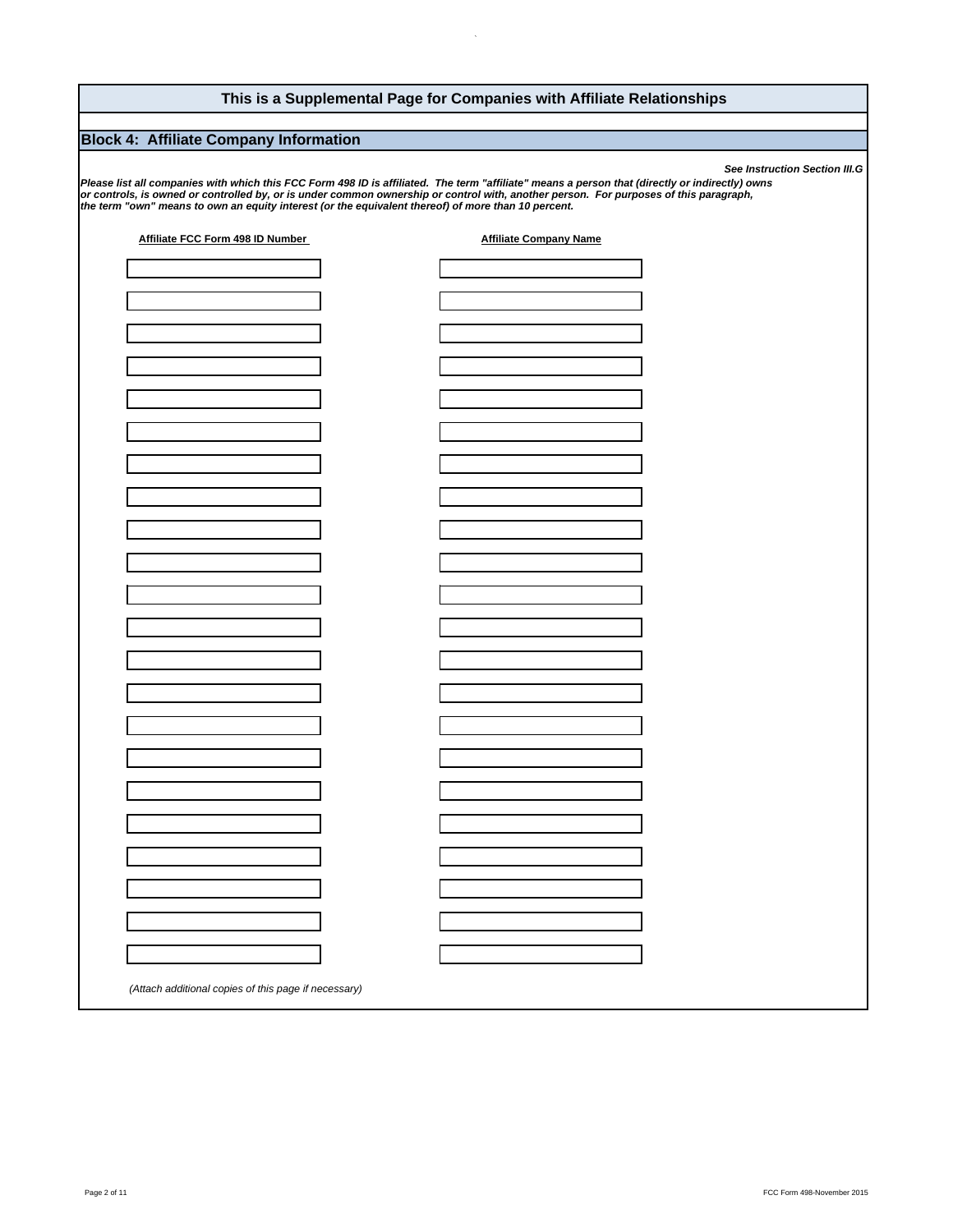## **This is a Supplemental Page for Companies with Affiliate Relationships**

## **Block 4: Affiliate Company Information**

*See Instruction Section III.G* or controls, is owned or controlled by, or is under common ownership or control with, another person. For purposes of this paragraph,<br>the term "own" means to own an equity interest (or the equivalent thereof) of more than *Please list all companies with which this FCC Form 498 ID is affiliated. The term "affiliate" means a person that (directly or indirectly) owns* 

| (Attach additional copies of this page if necessary) | Affiliate FCC Form 498 ID Number | <b>Affiliate Company Name</b> |
|------------------------------------------------------|----------------------------------|-------------------------------|
|                                                      |                                  |                               |
|                                                      |                                  |                               |
|                                                      |                                  |                               |
|                                                      |                                  |                               |
|                                                      |                                  |                               |
|                                                      |                                  |                               |
|                                                      |                                  |                               |
|                                                      |                                  |                               |
|                                                      |                                  |                               |
|                                                      |                                  |                               |
|                                                      |                                  |                               |
|                                                      |                                  |                               |
|                                                      |                                  |                               |
|                                                      |                                  |                               |
|                                                      |                                  |                               |
|                                                      |                                  |                               |
|                                                      |                                  |                               |
|                                                      |                                  |                               |
|                                                      |                                  |                               |
|                                                      |                                  |                               |
|                                                      |                                  |                               |
|                                                      |                                  |                               |
|                                                      |                                  |                               |
|                                                      |                                  |                               |
|                                                      |                                  |                               |
|                                                      |                                  |                               |
|                                                      |                                  |                               |
|                                                      |                                  |                               |
|                                                      |                                  |                               |
|                                                      |                                  |                               |
|                                                      |                                  |                               |
|                                                      |                                  |                               |
|                                                      |                                  |                               |
|                                                      |                                  |                               |
|                                                      |                                  |                               |
|                                                      |                                  |                               |
|                                                      |                                  |                               |
|                                                      |                                  |                               |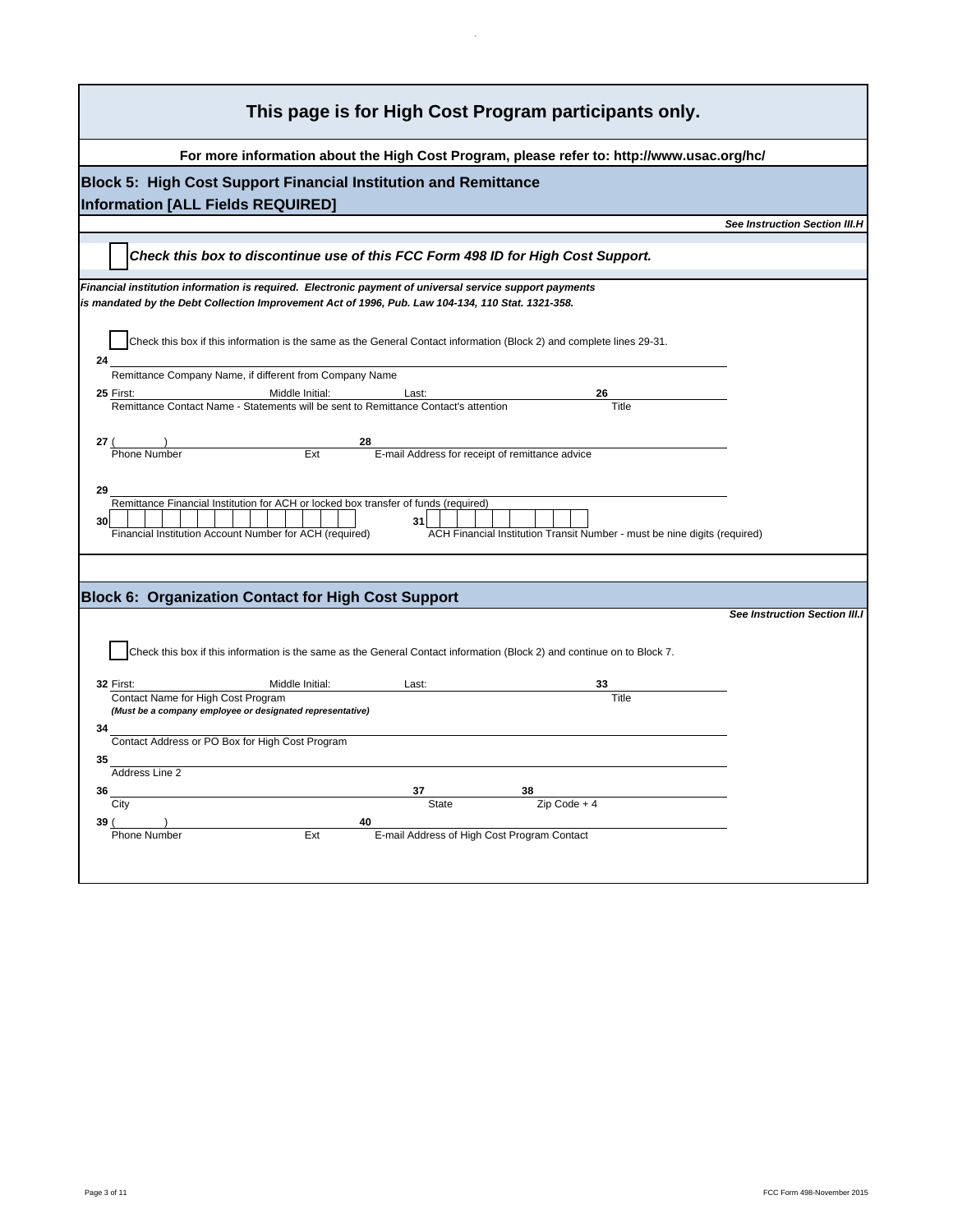| This page is for High Cost Program participants only.                                                                                                                                                                                         |                                      |
|-----------------------------------------------------------------------------------------------------------------------------------------------------------------------------------------------------------------------------------------------|--------------------------------------|
| For more information about the High Cost Program, please refer to: http://www.usac.org/hc/                                                                                                                                                    |                                      |
| Block 5: High Cost Support Financial Institution and Remittance<br><b>Information [ALL Fields REQUIRED]</b>                                                                                                                                   |                                      |
|                                                                                                                                                                                                                                               | <b>See Instruction Section III.H</b> |
| Check this box to discontinue use of this FCC Form 498 ID for High Cost Support.                                                                                                                                                              |                                      |
| Financial institution information is required. Electronic payment of universal service support payments<br>is mandated by the Debt Collection Improvement Act of 1996, Pub. Law 104-134, 110 Stat. 1321-358.                                  |                                      |
| Check this box if this information is the same as the General Contact information (Block 2) and complete lines 29-31.<br>24                                                                                                                   |                                      |
| Remittance Company Name, if different from Company Name                                                                                                                                                                                       |                                      |
| 25 First:<br>Middle Initial:<br>Last:                                                                                                                                                                                                         |                                      |
| Remittance Contact Name - Statements will be sent to Remittance Contact's attention<br>Title                                                                                                                                                  |                                      |
| E-mail Address for receipt of remittance advice<br>Ext<br><b>Phone Number</b>                                                                                                                                                                 |                                      |
| 29<br>Remittance Financial Institution for ACH or locked box transfer of funds (required)<br>31<br>30<br>Financial Institution Account Number for ACH (required)<br>ACH Financial Institution Transit Number - must be nine digits (required) |                                      |
| Block 6: Organization Contact for High Cost Support                                                                                                                                                                                           |                                      |
|                                                                                                                                                                                                                                               | <b>See Instruction Section III.I</b> |
| Check this box if this information is the same as the General Contact information (Block 2) and continue on to Block 7.                                                                                                                       |                                      |
| Middle Initial:<br>32 First:<br>Last:                                                                                                                                                                                                         |                                      |
| Contact Name for High Cost Program<br>Title<br>(Must be a company employee or designated representative)                                                                                                                                      |                                      |
| 34<br>Contact Address or PO Box for High Cost Program                                                                                                                                                                                         |                                      |
| 35<br>Address Line 2                                                                                                                                                                                                                          |                                      |
| 36<br>37                                                                                                                                                                                                                                      |                                      |
| <b>State</b><br>$\overline{Z}$ ip Code + 4<br>City                                                                                                                                                                                            |                                      |
| 39                                                                                                                                                                                                                                            |                                      |
| E-mail Address of High Cost Program Contact<br><b>Phone Number</b><br>Ext                                                                                                                                                                     |                                      |
|                                                                                                                                                                                                                                               |                                      |

 $\mathcal{L}_{\mathcal{A}}$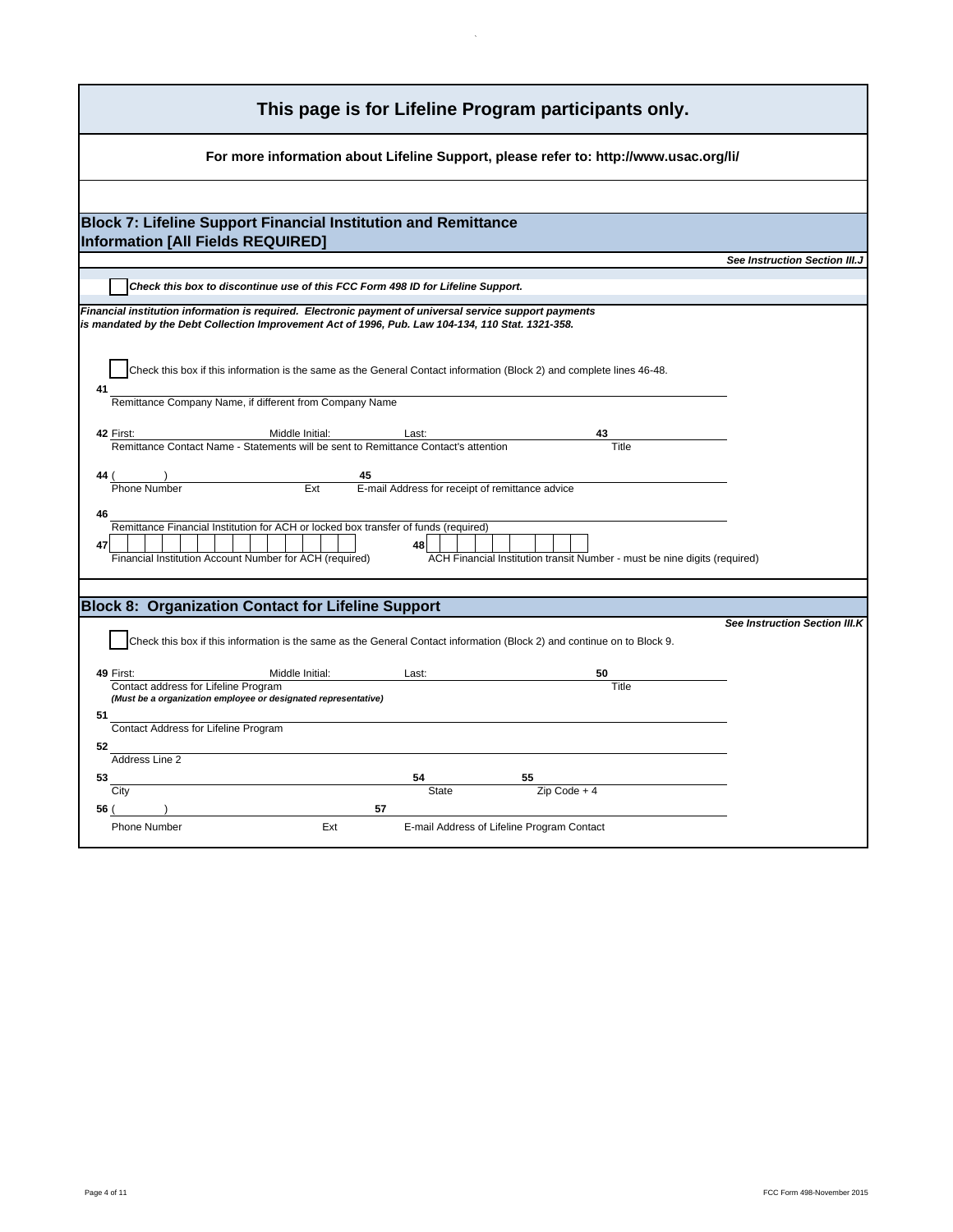| This page is for Lifeline Program participants only.                                                                                                                                                                                          |
|-----------------------------------------------------------------------------------------------------------------------------------------------------------------------------------------------------------------------------------------------|
| For more information about Lifeline Support, please refer to: http://www.usac.org/li/                                                                                                                                                         |
|                                                                                                                                                                                                                                               |
| <b>Block 7: Lifeline Support Financial Institution and Remittance</b><br>Information [All Fields REQUIRED]                                                                                                                                    |
| See Instruction Section III.J                                                                                                                                                                                                                 |
| Check this box to discontinue use of this FCC Form 498 ID for Lifeline Support.                                                                                                                                                               |
| Financial institution information is required. Electronic payment of universal service support payments<br>is mandated by the Debt Collection Improvement Act of 1996, Pub. Law 104-134, 110 Stat. 1321-358.                                  |
| Check this box if this information is the same as the General Contact information (Block 2) and complete lines 46-48.<br>41                                                                                                                   |
| Remittance Company Name, if different from Company Name                                                                                                                                                                                       |
| 42 First:<br>Middle Initial:<br>Last:<br>Title<br>Remittance Contact Name - Statements will be sent to Remittance Contact's attention                                                                                                         |
| 45<br>Phone Number<br>Ext<br>E-mail Address for receipt of remittance advice                                                                                                                                                                  |
| 46<br>Remittance Financial Institution for ACH or locked box transfer of funds (required)<br>47<br>48<br>Financial Institution Account Number for ACH (required)<br>ACH Financial Institution transit Number - must be nine digits (required) |
| <b>Block 8: Organization Contact for Lifeline Support</b>                                                                                                                                                                                     |
| <b>See Instruction Section III.K</b>                                                                                                                                                                                                          |
| Check this box if this information is the same as the General Contact information (Block 2) and continue on to Block 9.                                                                                                                       |
| Middle Initial:<br>49 First:<br>Last:<br>50<br>Title<br>Contact address for Lifeline Program<br>(Must be a organization employee or designated representative)                                                                                |
| 51<br>Contact Address for Lifeline Program                                                                                                                                                                                                    |
| 52                                                                                                                                                                                                                                            |
| Address Line 2<br>53                                                                                                                                                                                                                          |
| City<br><b>State</b><br>$Zip Code + 4$                                                                                                                                                                                                        |
| 56 (<br>57                                                                                                                                                                                                                                    |
| Ext<br><b>Phone Number</b><br>E-mail Address of Lifeline Program Contact                                                                                                                                                                      |

 $\mathcal{L}_{\mathcal{A}}$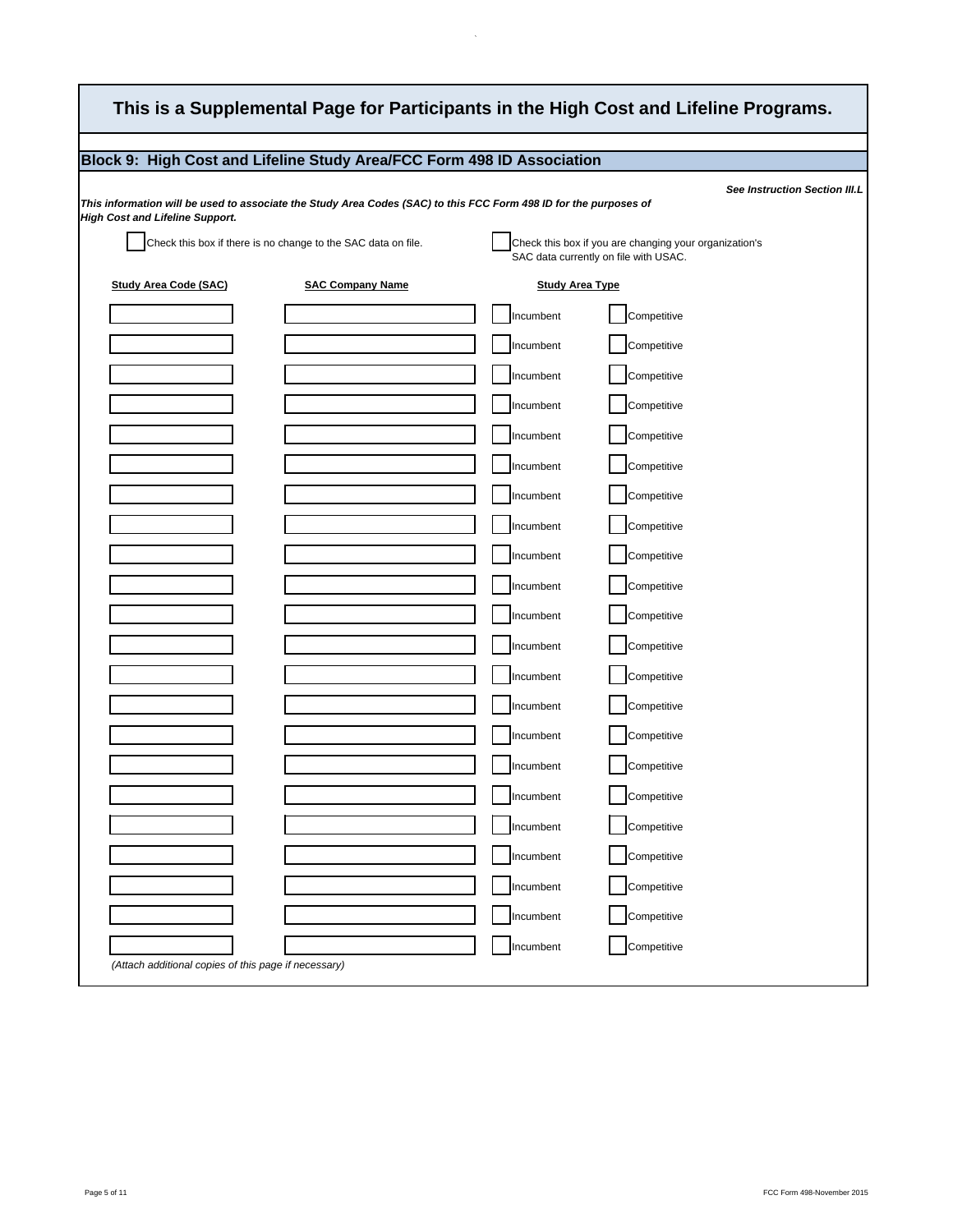|                                        | Block 9: High Cost and Lifeline Study Area/FCC Form 498 ID Association                                            |                        |                                                                                                 |
|----------------------------------------|-------------------------------------------------------------------------------------------------------------------|------------------------|-------------------------------------------------------------------------------------------------|
|                                        | This information will be used to associate the Study Area Codes (SAC) to this FCC Form 498 ID for the purposes of |                        | See Instruction Section III.L                                                                   |
| <b>High Cost and Lifeline Support.</b> |                                                                                                                   |                        |                                                                                                 |
|                                        | Check this box if there is no change to the SAC data on file.                                                     |                        | Check this box if you are changing your organization's<br>SAC data currently on file with USAC. |
| <b>Study Area Code (SAC)</b>           | <b>SAC Company Name</b>                                                                                           | <b>Study Area Type</b> |                                                                                                 |
|                                        |                                                                                                                   | Incumbent              | Competitive                                                                                     |
|                                        |                                                                                                                   | Incumbent              | Competitive                                                                                     |
|                                        |                                                                                                                   | Incumbent              | Competitive                                                                                     |
|                                        |                                                                                                                   | Incumbent              | Competitive                                                                                     |
|                                        |                                                                                                                   | Incumbent              | Competitive                                                                                     |
|                                        |                                                                                                                   | Incumbent              | Competitive                                                                                     |
|                                        |                                                                                                                   | Incumbent              | Competitive                                                                                     |
|                                        |                                                                                                                   | Incumbent              | Competitive                                                                                     |
|                                        |                                                                                                                   | Incumbent              | Competitive                                                                                     |
|                                        |                                                                                                                   | Incumbent              | Competitive                                                                                     |
|                                        |                                                                                                                   | Incumbent              | Competitive                                                                                     |
|                                        |                                                                                                                   | Incumbent              | Competitive                                                                                     |
|                                        |                                                                                                                   | Incumbent              | Competitive                                                                                     |
|                                        |                                                                                                                   | Incumbent              | Competitive                                                                                     |
|                                        |                                                                                                                   | Incumbent              | Competitive                                                                                     |
|                                        |                                                                                                                   | Incumbent              | Competitive                                                                                     |
|                                        |                                                                                                                   | Incumbent              | Competitive                                                                                     |
|                                        |                                                                                                                   | Incumbent              | Competitive                                                                                     |
|                                        |                                                                                                                   | Incumbent              | Competitive                                                                                     |
|                                        |                                                                                                                   | Incumbent              | Competitive                                                                                     |
|                                        |                                                                                                                   | Incumbent              | Competitive                                                                                     |
|                                        |                                                                                                                   | Incumbent              | Competitive                                                                                     |

 $\hat{\mathcal{N}}$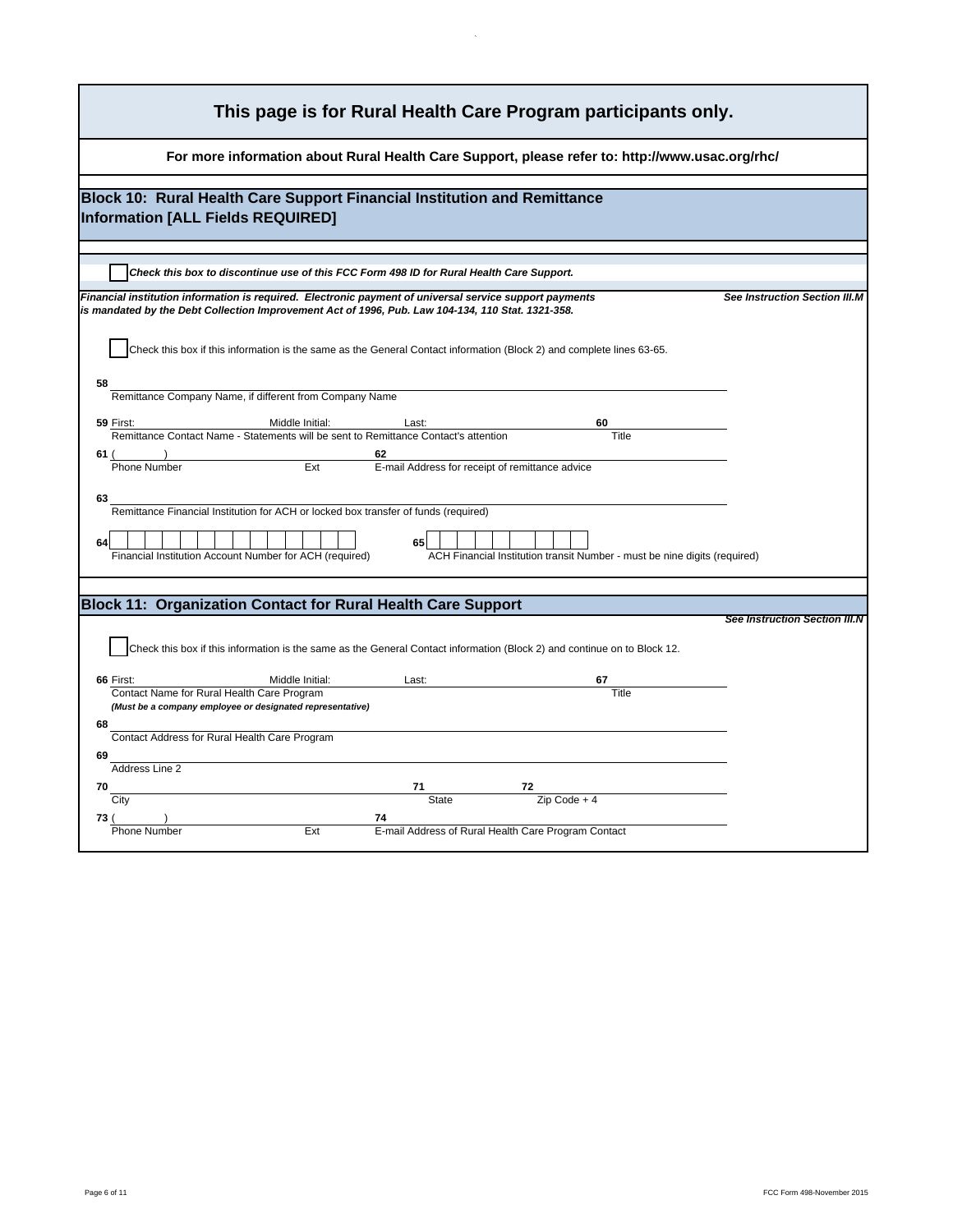| This page is for Rural Health Care Program participants only.                                                                                                                                                |                                      |  |
|--------------------------------------------------------------------------------------------------------------------------------------------------------------------------------------------------------------|--------------------------------------|--|
| For more information about Rural Health Care Support, please refer to: http://www.usac.org/rhc/                                                                                                              |                                      |  |
| Block 10: Rural Health Care Support Financial Institution and Remittance                                                                                                                                     |                                      |  |
| Information [ALL Fields REQUIRED]                                                                                                                                                                            |                                      |  |
| Check this box to discontinue use of this FCC Form 498 ID for Rural Health Care Support.                                                                                                                     |                                      |  |
| Financial institution information is required. Electronic payment of universal service support payments<br>is mandated by the Debt Collection Improvement Act of 1996, Pub. Law 104-134, 110 Stat. 1321-358. | See Instruction Section III.M        |  |
| Check this box if this information is the same as the General Contact information (Block 2) and complete lines 63-65.                                                                                        |                                      |  |
| 58<br>Remittance Company Name, if different from Company Name                                                                                                                                                |                                      |  |
| Middle Initial:<br>59 First:<br>Last:<br>60                                                                                                                                                                  |                                      |  |
| Remittance Contact Name - Statements will be sent to Remittance Contact's attention<br>Title                                                                                                                 |                                      |  |
| 62<br>61 (<br>Ext<br>E-mail Address for receipt of remittance advice<br><b>Phone Number</b>                                                                                                                  |                                      |  |
|                                                                                                                                                                                                              |                                      |  |
| 63                                                                                                                                                                                                           |                                      |  |
| Remittance Financial Institution for ACH or locked box transfer of funds (required)                                                                                                                          |                                      |  |
| 65<br>64<br>ACH Financial Institution transit Number - must be nine digits (required)<br>Financial Institution Account Number for ACH (required)                                                             |                                      |  |
|                                                                                                                                                                                                              |                                      |  |
| <b>Block 11: Organization Contact for Rural Health Care Support</b>                                                                                                                                          |                                      |  |
|                                                                                                                                                                                                              | <b>See Instruction Section III.N</b> |  |
| Check this box if this information is the same as the General Contact information (Block 2) and continue on to Block 12.                                                                                     |                                      |  |
| Middle Initial:<br>Last:<br>66 First:                                                                                                                                                                        |                                      |  |
| Title<br>Contact Name for Rural Health Care Program<br>(Must be a company employee or designated representative)                                                                                             |                                      |  |
| 68                                                                                                                                                                                                           |                                      |  |
| Contact Address for Rural Health Care Program                                                                                                                                                                |                                      |  |
| 69                                                                                                                                                                                                           |                                      |  |
| Address Line 2                                                                                                                                                                                               |                                      |  |
| 70<br>$Zip Code + 4$<br><b>State</b><br>City                                                                                                                                                                 |                                      |  |
|                                                                                                                                                                                                              |                                      |  |
| E-mail Address of Rural Health Care Program Contact<br>Ext<br><b>Phone Number</b>                                                                                                                            |                                      |  |
|                                                                                                                                                                                                              |                                      |  |

 $\sim$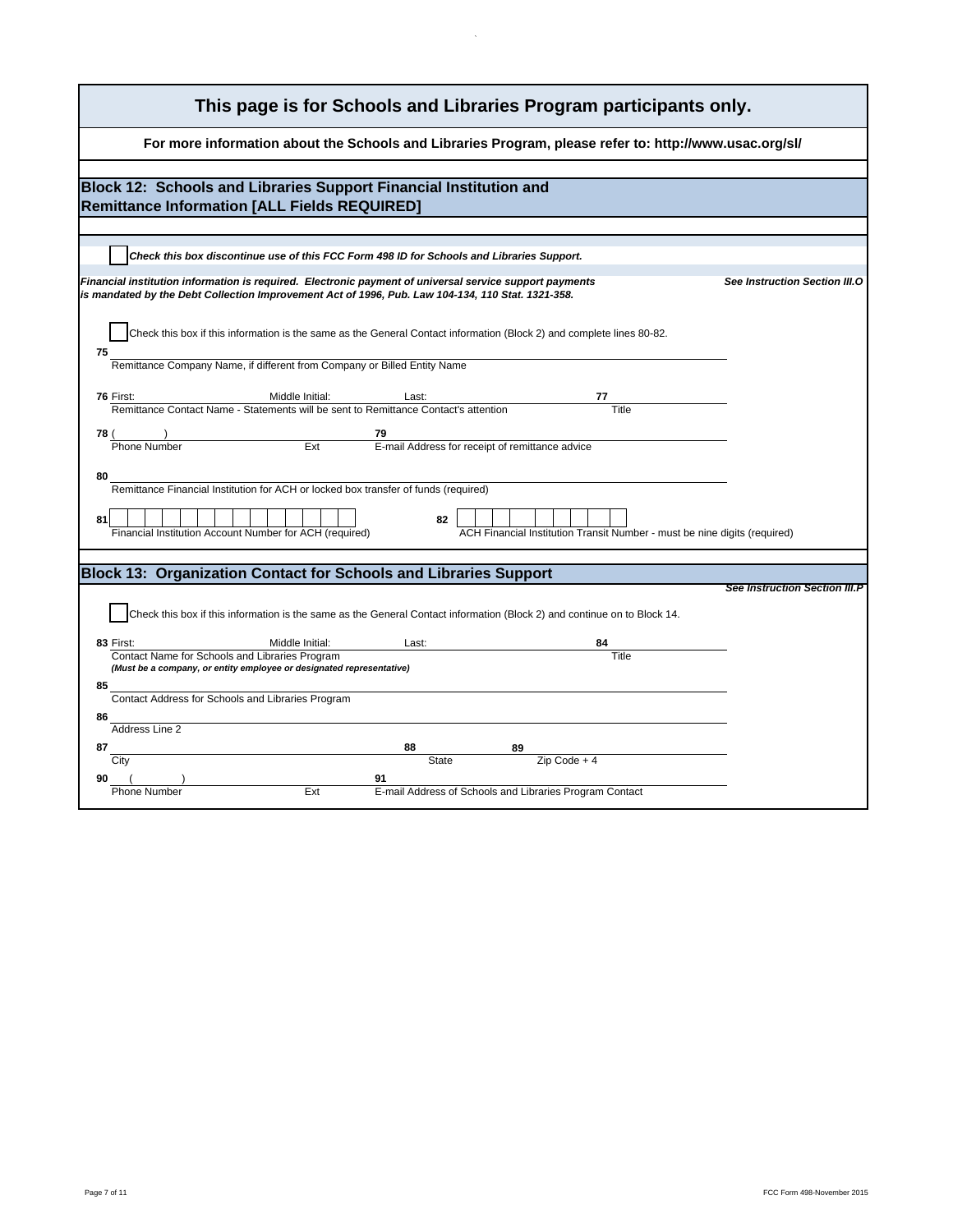| This page is for Schools and Libraries Program participants only.                                                                                                                                                                             |  |  |
|-----------------------------------------------------------------------------------------------------------------------------------------------------------------------------------------------------------------------------------------------|--|--|
| For more information about the Schools and Libraries Program, please refer to: http://www.usac.org/sl/                                                                                                                                        |  |  |
| Block 12: Schools and Libraries Support Financial Institution and<br><b>Remittance Information [ALL Fields REQUIRED]</b>                                                                                                                      |  |  |
| Check this box discontinue use of this FCC Form 498 ID for Schools and Libraries Support.                                                                                                                                                     |  |  |
| Financial institution information is required. Electronic payment of universal service support payments<br>See Instruction Section III.O<br>is mandated by the Debt Collection Improvement Act of 1996, Pub. Law 104-134, 110 Stat. 1321-358. |  |  |
| Check this box if this information is the same as the General Contact information (Block 2) and complete lines 80-82.<br>75<br>Remittance Company Name, if different from Company or Billed Entity Name                                       |  |  |
|                                                                                                                                                                                                                                               |  |  |
| 76 First:<br>Middle Initial:<br>Last:<br>Remittance Contact Name - Statements will be sent to Remittance Contact's attention                                                                                                                  |  |  |
| 78 (<br>79<br>Ext<br>E-mail Address for receipt of remittance advice<br><b>Phone Number</b>                                                                                                                                                   |  |  |
|                                                                                                                                                                                                                                               |  |  |
| 80<br>Remittance Financial Institution for ACH or locked box transfer of funds (required)                                                                                                                                                     |  |  |
| 81<br>82<br>ACH Financial Institution Transit Number - must be nine digits (required)<br>Financial Institution Account Number for ACH (required)                                                                                              |  |  |
| <b>Block 13: Organization Contact for Schools and Libraries Support</b>                                                                                                                                                                       |  |  |
| <b>See Instruction Section III.P</b>                                                                                                                                                                                                          |  |  |
| Check this box if this information is the same as the General Contact information (Block 2) and continue on to Block 14.                                                                                                                      |  |  |
| Middle Initial:<br>Last:<br>83 First:<br>84                                                                                                                                                                                                   |  |  |
| Contact Name for Schools and Libraries Program<br>Title<br>(Must be a company, or entity employee or designated representative)                                                                                                               |  |  |
| 85<br>Contact Address for Schools and Libraries Program                                                                                                                                                                                       |  |  |
| 86                                                                                                                                                                                                                                            |  |  |
| Address Line 2                                                                                                                                                                                                                                |  |  |
| 87<br>88<br>$Zip Code + 4$<br>City<br><b>State</b>                                                                                                                                                                                            |  |  |
| 91<br>90<br>E-mail Address of Schools and Libraries Program Contact<br>Ext<br><b>Phone Number</b>                                                                                                                                             |  |  |
|                                                                                                                                                                                                                                               |  |  |

 $\mathcal{A}^{\mathcal{A}}$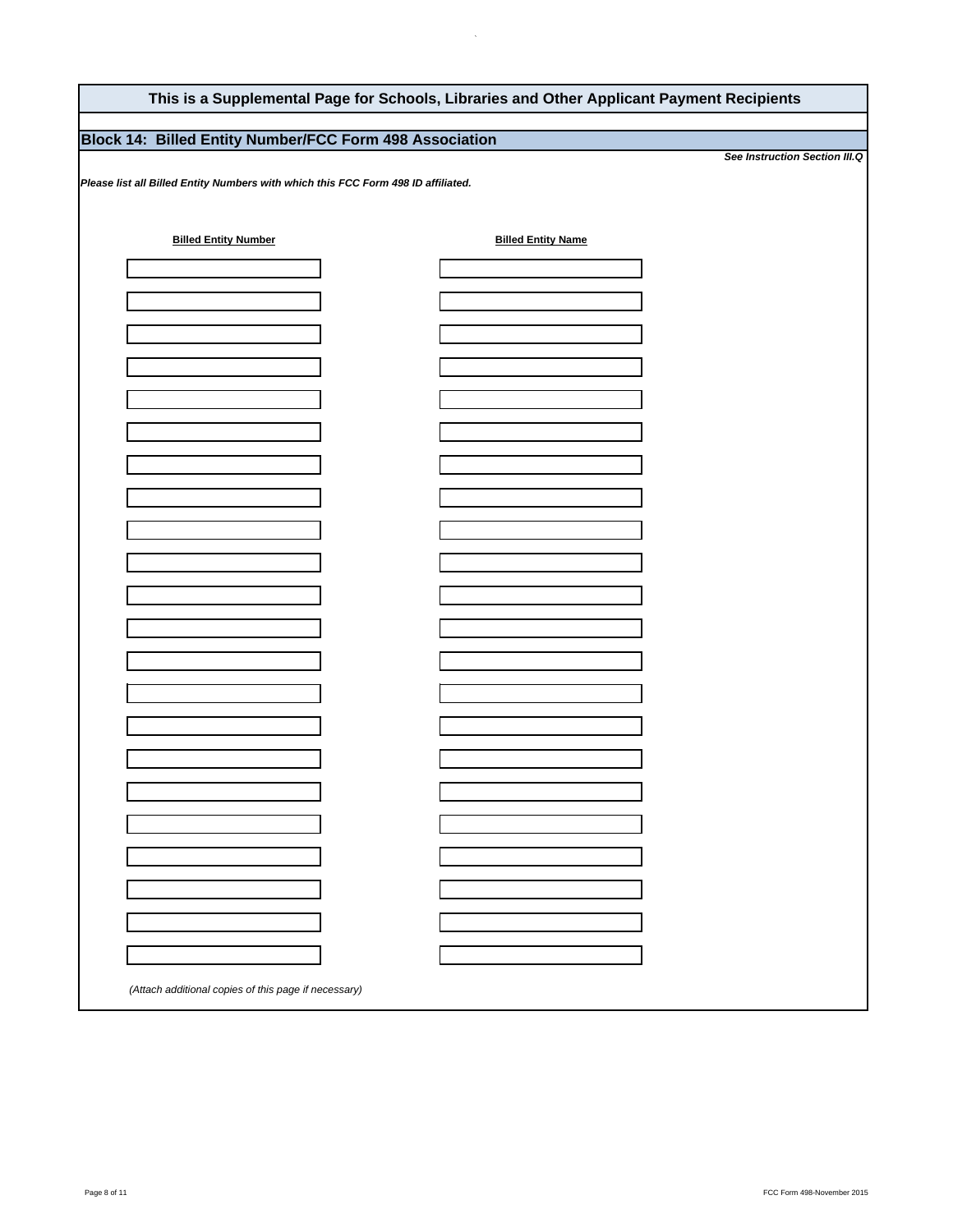## **This is a Supplemental Page for Schools, Libraries and Other Applicant Payment Recipients**

 $\ddot{\phantom{a}}$ 

## **Block 14: Billed Entity Number/FCC Form 498 Association**

*Please list all Billed Entity Numbers with which this FCC Form 498 ID affiliated.* 

| (Attach additional copies of this page if necessary) |  |
|------------------------------------------------------|--|

*See Instruction Section III.Q*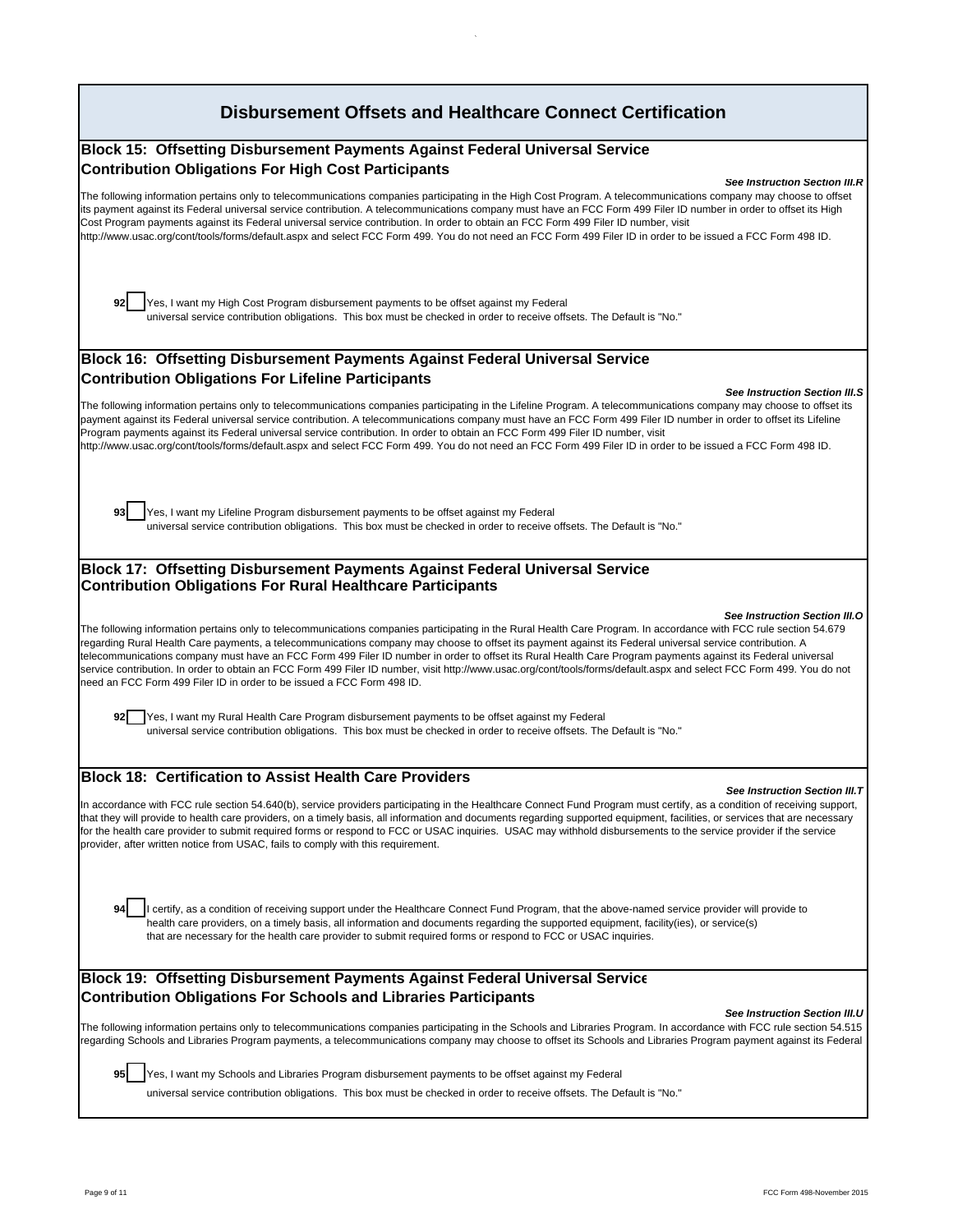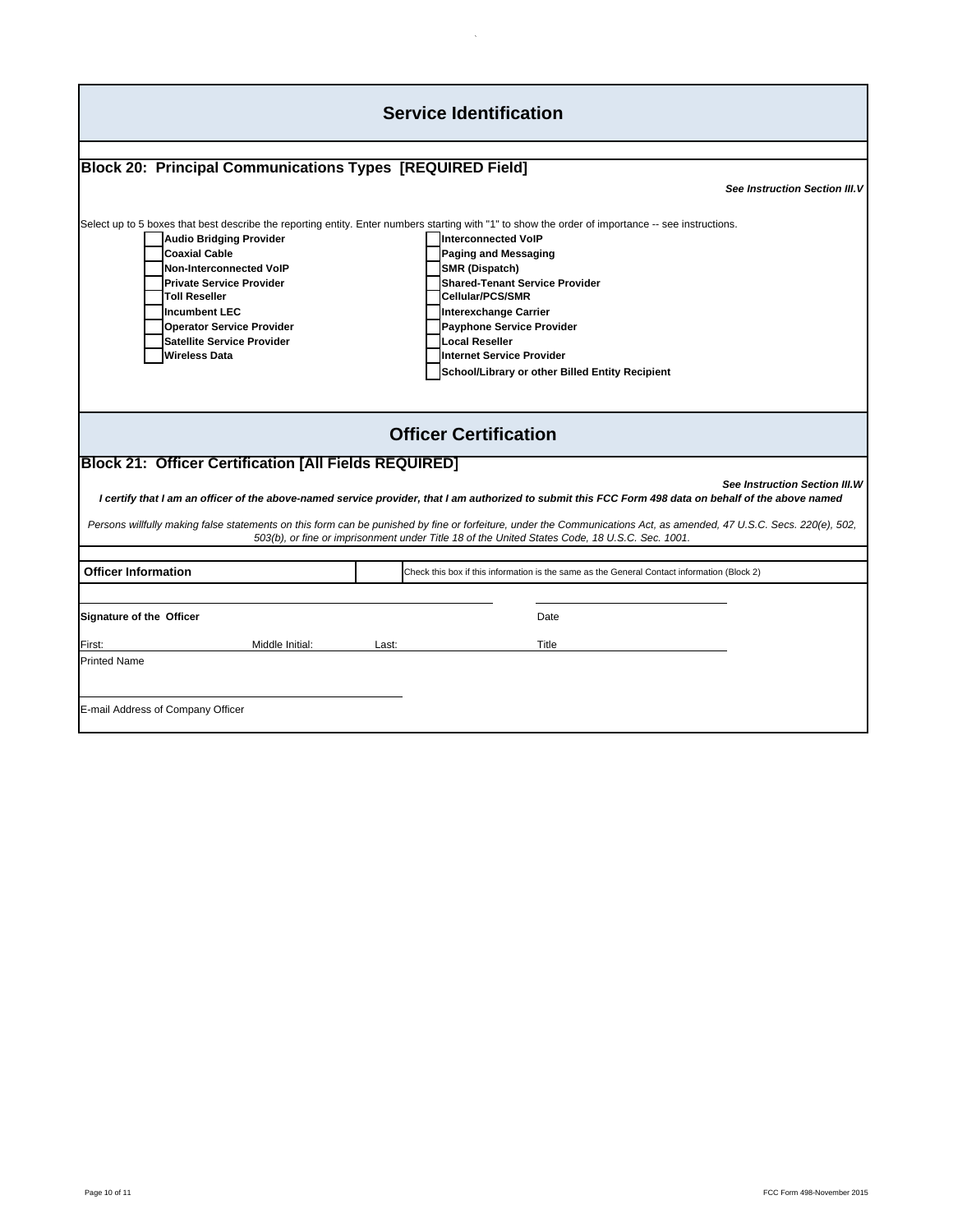|                                                                                                                                                                                                                                                                       | <b>Service Identification</b>                                                                                                                                                                                                                                                                                                                                                                                                                                                             |
|-----------------------------------------------------------------------------------------------------------------------------------------------------------------------------------------------------------------------------------------------------------------------|-------------------------------------------------------------------------------------------------------------------------------------------------------------------------------------------------------------------------------------------------------------------------------------------------------------------------------------------------------------------------------------------------------------------------------------------------------------------------------------------|
|                                                                                                                                                                                                                                                                       |                                                                                                                                                                                                                                                                                                                                                                                                                                                                                           |
| <b>Block 20: Principal Communications Types [REQUIRED Field]</b>                                                                                                                                                                                                      |                                                                                                                                                                                                                                                                                                                                                                                                                                                                                           |
|                                                                                                                                                                                                                                                                       | <b>See Instruction Section III.V</b>                                                                                                                                                                                                                                                                                                                                                                                                                                                      |
| <b>Audio Bridging Provider</b><br><b>Coaxial Cable</b><br><b>Non-Interconnected VoIP</b><br><b>Private Service Provider</b><br><b>Toll Reseller</b><br><b>Incumbent LEC</b><br><b>Operator Service Provider</b><br>Satellite Service Provider<br><b>Wireless Data</b> | Select up to 5 boxes that best describe the reporting entity. Enter numbers starting with "1" to show the order of importance -- see instructions.<br><b>Interconnected VoIP</b><br><b>Paging and Messaging</b><br>SMR (Dispatch)<br><b>Shared-Tenant Service Provider</b><br><b>Cellular/PCS/SMR</b><br><b>Interexchange Carrier</b><br><b>Payphone Service Provider</b><br><b>Local Reseller</b><br><b>Internet Service Provider</b><br>School/Library or other Billed Entity Recipient |
|                                                                                                                                                                                                                                                                       | <b>Officer Certification</b>                                                                                                                                                                                                                                                                                                                                                                                                                                                              |
| <b>Block 21: Officer Certification [All Fields REQUIRED]</b>                                                                                                                                                                                                          | <b>See Instruction Section III.W</b><br>I certify that I am an officer of the above-named service provider, that I am authorized to submit this FCC Form 498 data on behalf of the above named<br>Persons willfully making false statements on this form can be punished by fine or forfeiture, under the Communications Act, as amended, 47 U.S.C. Secs. 220(e), 502,<br>503(b), or fine or imprisonment under Title 18 of the United States Code, 18 U.S.C. Sec. 1001.                  |
|                                                                                                                                                                                                                                                                       |                                                                                                                                                                                                                                                                                                                                                                                                                                                                                           |
| <b>Officer Information</b>                                                                                                                                                                                                                                            | Check this box if this information is the same as the General Contact information (Block 2)                                                                                                                                                                                                                                                                                                                                                                                               |
| Signature of the Officer                                                                                                                                                                                                                                              | Date                                                                                                                                                                                                                                                                                                                                                                                                                                                                                      |
| Middle Initial:<br>First:                                                                                                                                                                                                                                             | Last:<br>Title                                                                                                                                                                                                                                                                                                                                                                                                                                                                            |
| <b>Printed Name</b><br>E-mail Address of Company Officer                                                                                                                                                                                                              |                                                                                                                                                                                                                                                                                                                                                                                                                                                                                           |

 $\mathcal{L}_{\mathcal{A}}$